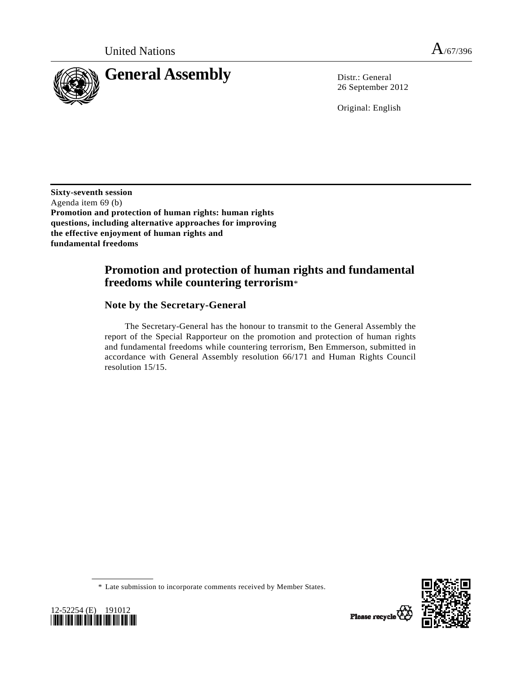

26 September 2012

Original: English

**Sixty-seventh session**  Agenda item 69 (b) **Promotion and protection of human rights: human rights questions, including alternative approaches for improving the effective enjoyment of human rights and fundamental freedoms** 

# **Promotion and protection of human rights and fundamental freedoms while countering terrorism**\*

# **Note by the Secretary-General**

 The Secretary-General has the honour to transmit to the General Assembly the report of the Special Rapporteur on the promotion and protection of human rights and fundamental freedoms while countering terrorism, Ben Emmerson, submitted in accordance with General Assembly resolution 66/171 and Human Rights Council resolution 15/15.





 <sup>\*</sup> Late submission to incorporate comments received by Member States.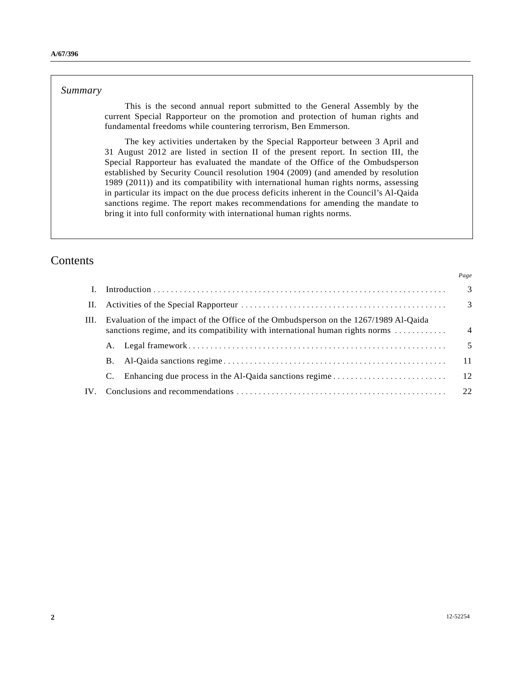#### *Summary*

 This is the second annual report submitted to the General Assembly by the current Special Rapporteur on the promotion and protection of human rights and fundamental freedoms while countering terrorism, Ben Emmerson.

 The key activities undertaken by the Special Rapporteur between 3 April and 31 August 2012 are listed in section II of the present report. In section III, the Special Rapporteur has evaluated the mandate of the Office of the Ombudsperson established by Security Council resolution 1904 (2009) (and amended by resolution 1989 (2011)) and its compatibility with international human rights norms, assessing in particular its impact on the due process deficits inherent in the Council's Al-Qaida sanctions regime. The report makes recommendations for amending the mandate to bring it into full conformity with international human rights norms.

# Contents

| $\mathbf{I}$ . |                                                                                                                                                                       |  | -3             |
|----------------|-----------------------------------------------------------------------------------------------------------------------------------------------------------------------|--|----------------|
| Н.             |                                                                                                                                                                       |  | $\overline{3}$ |
| III.           | Evaluation of the impact of the Office of the Ombudsperson on the 1267/1989 Al-Qaida<br>sanctions regime, and its compatibility with international human rights norms |  | $\overline{4}$ |
|                |                                                                                                                                                                       |  | 5              |
|                | В.                                                                                                                                                                    |  | -11            |
|                | C.                                                                                                                                                                    |  |                |
| IV.            |                                                                                                                                                                       |  | 22             |
|                |                                                                                                                                                                       |  |                |

*Page*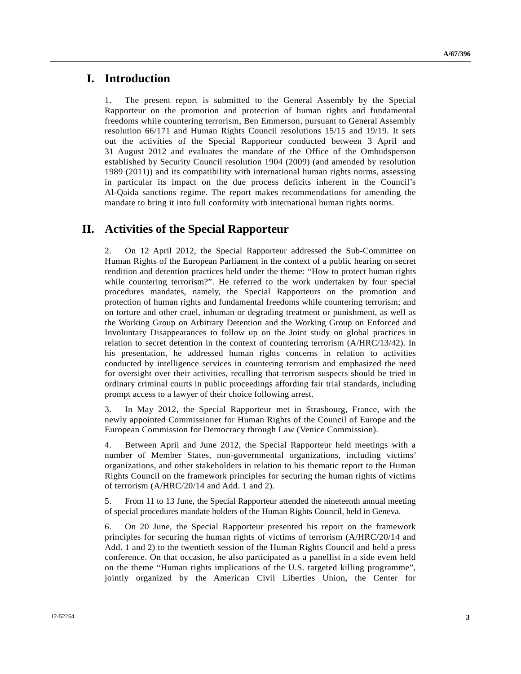### **I. Introduction**

1. The present report is submitted to the General Assembly by the Special Rapporteur on the promotion and protection of human rights and fundamental freedoms while countering terrorism, Ben Emmerson, pursuant to General Assembly resolution 66/171 and Human Rights Council resolutions 15/15 and 19/19. It sets out the activities of the Special Rapporteur conducted between 3 April and 31 August 2012 and evaluates the mandate of the Office of the Ombudsperson established by Security Council resolution 1904 (2009) (and amended by resolution 1989 (2011)) and its compatibility with international human rights norms, assessing in particular its impact on the due process deficits inherent in the Council's Al-Qaida sanctions regime. The report makes recommendations for amending the mandate to bring it into full conformity with international human rights norms.

# **II. Activities of the Special Rapporteur**

2. On 12 April 2012, the Special Rapporteur addressed the Sub-Committee on Human Rights of the European Parliament in the context of a public hearing on secret rendition and detention practices held under the theme: "How to protect human rights while countering terrorism?". He referred to the work undertaken by four special procedures mandates, namely, the Special Rapporteurs on the promotion and protection of human rights and fundamental freedoms while countering terrorism; and on torture and other cruel, inhuman or degrading treatment or punishment, as well as the Working Group on Arbitrary Detention and the Working Group on Enforced and Involuntary Disappearances to follow up on the Joint study on global practices in relation to secret detention in the context of countering terrorism (A/HRC/13/42). In his presentation, he addressed human rights concerns in relation to activities conducted by intelligence services in countering terrorism and emphasized the need for oversight over their activities, recalling that terrorism suspects should be tried in ordinary criminal courts in public proceedings affording fair trial standards, including prompt access to a lawyer of their choice following arrest.

3. In May 2012, the Special Rapporteur met in Strasbourg, France, with the newly appointed Commissioner for Human Rights of the Council of Europe and the European Commission for Democracy through Law (Venice Commission).

4. Between April and June 2012, the Special Rapporteur held meetings with a number of Member States, non-governmental organizations, including victims' organizations, and other stakeholders in relation to his thematic report to the Human Rights Council on the framework principles for securing the human rights of victims of terrorism (A/HRC/20/14 and Add. 1 and 2).

5. From 11 to 13 June, the Special Rapporteur attended the nineteenth annual meeting of special procedures mandate holders of the Human Rights Council, held in Geneva.

6. On 20 June, the Special Rapporteur presented his report on the framework principles for securing the human rights of victims of terrorism (A/HRC/20/14 and Add. 1 and 2) to the twentieth session of the Human Rights Council and held a press conference. On that occasion, he also participated as a panellist in a side event held on the theme "Human rights implications of the U.S. targeted killing programme", jointly organized by the American Civil Liberties Union, the Center for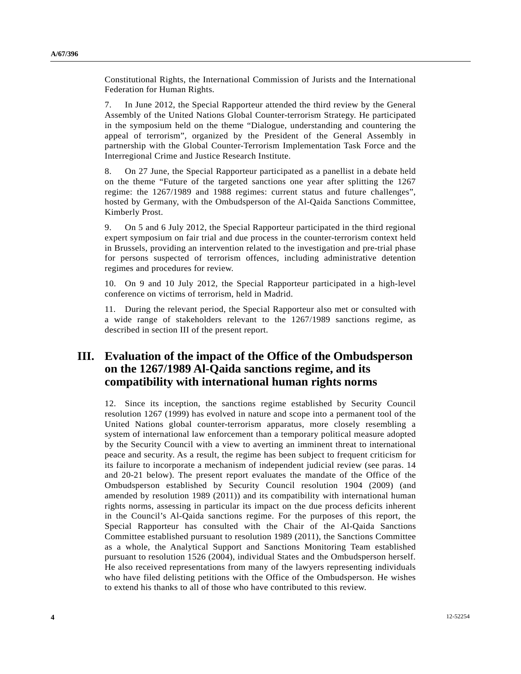Constitutional Rights, the International Commission of Jurists and the International Federation for Human Rights.

7. In June 2012, the Special Rapporteur attended the third review by the General Assembly of the United Nations Global Counter-terrorism Strategy. He participated in the symposium held on the theme "Dialogue, understanding and countering the appeal of terrorism", organized by the President of the General Assembly in partnership with the Global Counter-Terrorism Implementation Task Force and the Interregional Crime and Justice Research Institute.

8. On 27 June, the Special Rapporteur participated as a panellist in a debate held on the theme "Future of the targeted sanctions one year after splitting the 1267 regime: the 1267/1989 and 1988 regimes: current status and future challenges", hosted by Germany, with the Ombudsperson of the Al-Qaida Sanctions Committee, Kimberly Prost.

9. On 5 and 6 July 2012, the Special Rapporteur participated in the third regional expert symposium on fair trial and due process in the counter-terrorism context held in Brussels, providing an intervention related to the investigation and pre-trial phase for persons suspected of terrorism offences, including administrative detention regimes and procedures for review.

10. On 9 and 10 July 2012, the Special Rapporteur participated in a high-level conference on victims of terrorism, held in Madrid.

11. During the relevant period, the Special Rapporteur also met or consulted with a wide range of stakeholders relevant to the 1267/1989 sanctions regime, as described in section III of the present report.

# **III. Evaluation of the impact of the Office of the Ombudsperson on the 1267/1989 Al-Qaida sanctions regime, and its compatibility with international human rights norms**

12. Since its inception, the sanctions regime established by Security Council resolution 1267 (1999) has evolved in nature and scope into a permanent tool of the United Nations global counter-terrorism apparatus, more closely resembling a system of international law enforcement than a temporary political measure adopted by the Security Council with a view to averting an imminent threat to international peace and security. As a result, the regime has been subject to frequent criticism for its failure to incorporate a mechanism of independent judicial review (see paras. 14 and 20-21 below). The present report evaluates the mandate of the Office of the Ombudsperson established by Security Council resolution 1904 (2009) (and amended by resolution 1989 (2011)) and its compatibility with international human rights norms, assessing in particular its impact on the due process deficits inherent in the Council's Al-Qaida sanctions regime. For the purposes of this report, the Special Rapporteur has consulted with the Chair of the Al-Qaida Sanctions Committee established pursuant to resolution 1989 (2011), the Sanctions Committee as a whole, the Analytical Support and Sanctions Monitoring Team established pursuant to resolution 1526 (2004), individual States and the Ombudsperson herself. He also received representations from many of the lawyers representing individuals who have filed delisting petitions with the Office of the Ombudsperson. He wishes to extend his thanks to all of those who have contributed to this review.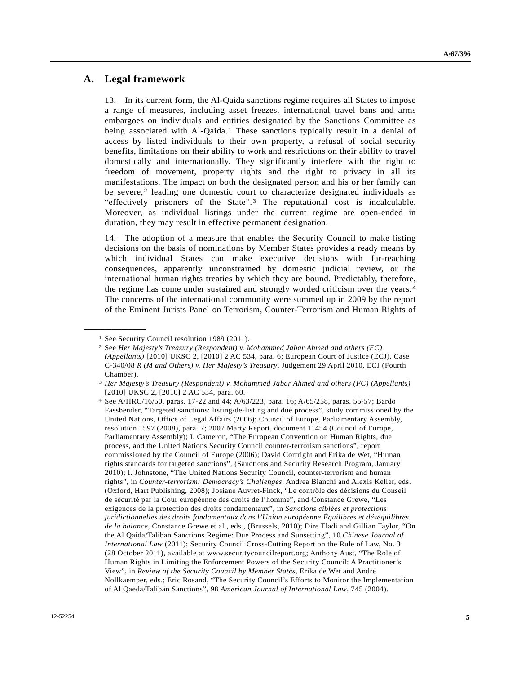### **A. Legal framework**

13. In its current form, the Al-Qaida sanctions regime requires all States to impose a range of measures, including asset freezes, international travel bans and arms embargoes on individuals and entities designated by the Sanctions Committee as being associated with Al-Qaida.<sup>[1](#page-4-0)</sup> These sanctions typically result in a denial of access by listed individuals to their own property, a refusal of social security benefits, limitations on their ability to work and restrictions on their ability to travel domestically and internationally. They significantly interfere with the right to freedom of movement, property rights and the right to privacy in all its manifestations. The impact on both the designated person and his or her family can be severe,<sup>[2](#page-4-1)</sup> leading one domestic court to characterize designated individuals as "effectively prisoners of the State".[3](#page-4-2) The reputational cost is incalculable. Moreover, as individual listings under the current regime are open-ended in duration, they may result in effective permanent designation.

14. The adoption of a measure that enables the Security Council to make listing decisions on the basis of nominations by Member States provides a ready means by which individual States can make executive decisions with far-reaching consequences, apparently unconstrained by domestic judicial review, or the international human rights treaties by which they are bound. Predictably, therefore, the regime has come under sustained and strongly worded criticism over the years.[4](#page-4-3) The concerns of the international community were summed up in 2009 by the report of the Eminent Jurists Panel on Terrorism, Counter-Terrorism and Human Rights of

<span id="page-4-0"></span><sup>1</sup> See Security Council resolution 1989 (2011).

<span id="page-4-1"></span><sup>2</sup> See *Her Majesty's Treasury (Respondent) v. Mohammed Jabar Ahmed and others (FC) (Appellants)* [2010] UKSC 2, [2010] 2 AC 534, para. 6; European Court of Justice (ECJ), Case C-340/08 *R (M and Others) v. Her Majesty's Treasury*, Judgement 29 April 2010, ECJ (Fourth Chamber).

<span id="page-4-2"></span><sup>3</sup> *Her Majesty's Treasury (Respondent) v. Mohammed Jabar Ahmed and others (FC) (Appellants)* [2010] UKSC 2, [2010] 2 AC 534, para. 60.

<span id="page-4-3"></span><sup>4</sup> See A/HRC/16/50, paras. 17-22 and 44; A/63/223, para. 16; A/65/258, paras. 55-57; Bardo Fassbender, "Targeted sanctions: listing/de-listing and due process", study commissioned by the United Nations, Office of Legal Affairs (2006); Council of Europe, Parliamentary Assembly, resolution 1597 (2008), para. 7; 2007 Marty Report, document 11454 (Council of Europe, Parliamentary Assembly); I. Cameron, "The European Convention on Human Rights, due process, and the United Nations Security Council counter-terrorism sanctions", report commissioned by the Council of Europe (2006); David Cortright and Erika de Wet, "Human rights standards for targeted sanctions", (Sanctions and Security Research Program, January 2010); I. Johnstone, "The United Nations Security Council, counter-terrorism and human rights", in *Counter-terrorism: Democracy's Challenges*, Andrea Bianchi and Alexis Keller, eds. (Oxford, Hart Publishing, 2008); Josiane Auvret-Finck, "Le contrôle des décisions du Conseil de sécurité par la Cour européenne des droits de l'homme", and Constance Grewe, "Les exigences de la protection des droits fondamentaux", in *Sanctions ciblées et protections juridictionnelles des droits fondamentaux dans l'Union européenne Équilibres et déséquilibres de la balance*, Constance Grewe et al., eds., (Brussels, 2010); Dire Tladi and Gillian Taylor, "On the Al Qaida/Taliban Sanctions Regime: Due Process and Sunsetting", 10 *Chinese Journal of International Law* (2011); Security Council Cross-Cutting Report on the Rule of Law, No. 3 (28 October 2011), available at www.securitycouncilreport.org; Anthony Aust, "The Role of Human Rights in Limiting the Enforcement Powers of the Security Council: A Practitioner's View", in *Review of the Security Council by Member States*, Erika de Wet and Andre Nollkaemper, eds.; Eric Rosand, "The Security Council's Efforts to Monitor the Implementation of Al Qaeda/Taliban Sanctions", 98 *American Journal of International Law*, 745 (2004).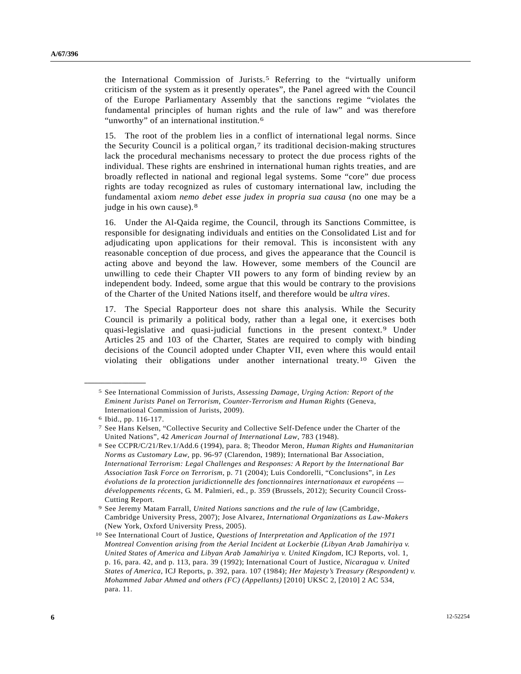the International Commission of Jurists.[5](#page-5-0) Referring to the "virtually uniform criticism of the system as it presently operates", the Panel agreed with the Council of the Europe Parliamentary Assembly that the sanctions regime "violates the fundamental principles of human rights and the rule of law" and was therefore "unworthy" of an international institution.<sup>6</sup>

15. The root of the problem lies in a conflict of international legal norms. Since the Security Council is a political organ, $\tau$  its traditional decision-making structures lack the procedural mechanisms necessary to protect the due process rights of the individual. These rights are enshrined in international human rights treaties, and are broadly reflected in national and regional legal systems. Some "core" due process rights are today recognized as rules of customary international law, including the fundamental axiom *nemo debet esse judex in propria sua causa* (no one may be a judge in his own cause).<sup>[8](#page-5-3)</sup>

16. Under the Al-Qaida regime, the Council, through its Sanctions Committee, is responsible for designating individuals and entities on the Consolidated List and for adjudicating upon applications for their removal. This is inconsistent with any reasonable conception of due process, and gives the appearance that the Council is acting above and beyond the law. However, some members of the Council are unwilling to cede their Chapter VII powers to any form of binding review by an independent body. Indeed, some argue that this would be contrary to the provisions of the Charter of the United Nations itself, and therefore would be *ultra vires*.

17. The Special Rapporteur does not share this analysis. While the Security Council is primarily a political body, rather than a legal one, it exercises both quasi-legislative and quasi-judicial functions in the present context.[9](#page-5-4) Under Articles 25 and 103 of the Charter, States are required to comply with binding decisions of the Council adopted under Chapter VII, even where this would entail violating their obligations under another international treaty.[10](#page-5-5) Given the

<span id="page-5-0"></span><sup>5</sup> See International Commission of Jurists, *Assessing Damage, Urging Action: Report of the Eminent Jurists Panel on Terrorism, Counter-Terrorism and Human Rights* (Geneva, International Commission of Jurists, 2009).

<span id="page-5-1"></span><sup>6</sup> Ibid., pp. 116-117.

<span id="page-5-2"></span><sup>7</sup> See Hans Kelsen, "Collective Security and Collective Self-Defence under the Charter of the

<span id="page-5-3"></span>United Nations", 42 *American Journal of International Law*, 783 (1948). 8 See CCPR/C/21/Rev.1/Add.6 (1994), para. 8; Theodor Meron, *Human Rights and Humanitarian Norms as Customary Law*, pp. 96-97 (Clarendon, 1989); International Bar Association, *International Terrorism: Legal Challenges and Responses: A Report by the International Bar Association Task Force on Terrorism*, p. 71 (2004); Luis Condorelli, "Conclusions", in *Les évolutions de la protection juridictionnelle des fonctionnaires internationaux et européens développements récents*, G. M. Palmieri, ed., p. 359 (Brussels, 2012); Security Council Cross-Cutting Report.

<span id="page-5-4"></span><sup>9</sup> See Jeremy Matam Farrall, *United Nations sanctions and the rule of law* (Cambridge, Cambridge University Press, 2007); Jose Alvarez, *International Organizations as Law-Makers* (New York, Oxford University Press, 2005).

<span id="page-5-5"></span><sup>10</sup> See International Court of Justice, *Questions of Interpretation and Application of the 1971 Montreal Convention arising from the Aerial Incident at Lockerbie (Libyan Arab Jamahiriya v. United States of America and Libyan Arab Jamahiriya v. United Kingdom*, ICJ Reports, vol. 1, p. 16, para. 42, and p. 113, para. 39 (1992); International Court of Justice, *Nicaragua v. United States of America*, ICJ Reports, p. 392, para. 107 (1984); *Her Majesty's Treasury (Respondent) v. Mohammed Jabar Ahmed and others (FC) (Appellants)* [2010] UKSC 2, [2010] 2 AC 534, para. 11.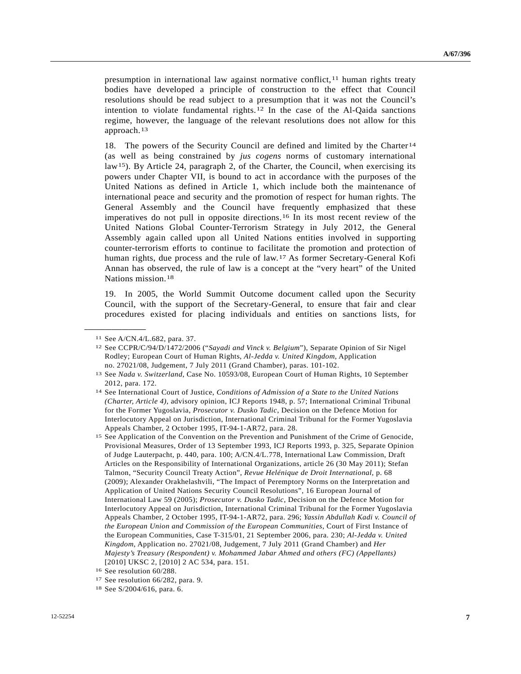presumption in international law against normative conflict,<sup>[1](#page-6-0)1</sup> human rights treaty bodies have developed a principle of construction to the effect that Council resolutions should be read subject to a presumption that it was not the Council's intention to violate fundamental rights.<sup>[12](#page-6-1)</sup> In the case of the Al-Qaida sanctions regime, however, the language of the relevant resolutions does not allow for this approach.[13](#page-6-2)

18. The powers of the Security Council are defined and limited by the Charter<sup>[14](#page-6-3)</sup> (as well as being constrained by *jus cogens* norms of customary international law<sup>[1](#page-6-4)5</sup>). By Article 24, paragraph 2, of the Charter, the Council, when exercising its powers under Chapter VII, is bound to act in accordance with the purposes of the United Nations as defined in Article 1, which include both the maintenance of international peace and security and the promotion of respect for human rights. The General Assembly and the Council have frequently emphasized that these imperatives do not pull in opposite directions.[16](#page-6-5) In its most recent review of the United Nations Global Counter-Terrorism Strategy in July 2012, the General Assembly again called upon all United Nations entities involved in supporting counter-terrorism efforts to continue to facilitate the promotion and protection of human rights, due process and the rule of law.[1](#page-6-6)7 As former Secretary-General Kofi Annan has observed, the rule of law is a concept at the "very heart" of the United Nations mission.[1](#page-6-7)8

19. In 2005, the World Summit Outcome document called upon the Security Council, with the support of the Secretary-General, to ensure that fair and clear procedures existed for placing individuals and entities on sanctions lists, for

<span id="page-6-0"></span><sup>11</sup> See A/CN.4/L.682, para. 37.

<span id="page-6-1"></span><sup>12</sup> See CCPR/C/94/D/1472/2006 ("*Sayadi and Vinck v. Belgium*"), Separate Opinion of Sir Nigel Rodley; European Court of Human Rights, *Al-Jedda v. United Kingdom*, Application no. 27021/08, Judgement, 7 July 2011 (Grand Chamber), paras. 101-102.

<span id="page-6-2"></span><sup>13</sup> See *Nada v. Switzerland*, Case No. 10593/08, European Court of Human Rights, 10 September 2012, para. 172.

<span id="page-6-3"></span><sup>14</sup> See International Court of Justice, *Conditions of Admission of a State to the United Nations (Charter, Article 4)*, advisory opinion, ICJ Reports 1948, p. 57; International Criminal Tribunal for the Former Yugoslavia, *Prosecutor v. Dusko Tadic*, Decision on the Defence Motion for Interlocutory Appeal on Jurisdiction, International Criminal Tribunal for the Former Yugoslavia Appeals Chamber, 2 October 1995, IT-94-1-AR72, para. 28.

<span id="page-6-4"></span><sup>15</sup> See Application of the Convention on the Prevention and Punishment of the Crime of Genocide, Provisional Measures, Order of 13 September 1993, ICJ Reports 1993, p. 325, Separate Opinion of Judge Lauterpacht, p. 440, para. 100; A/CN.4/L.778, International Law Commission, Draft Articles on the Responsibility of International Organizations, article 26 (30 May 2011); Stefan Talmon, "Security Council Treaty Action", *Revue Helénique de Droit International*, p. 68 (2009); Alexander Orakhelashvili, "The Impact of Peremptory Norms on the Interpretation and Application of United Nations Security Council Resolutions", 16 European Journal of International Law 59 (2005); *Prosecutor v. Dusko Tadic*, Decision on the Defence Motion for Interlocutory Appeal on Jurisdiction, International Criminal Tribunal for the Former Yugoslavia Appeals Chamber, 2 October 1995, IT-94-1-AR72, para. 296; *Yassin Abdullah Kadi v. Council of the European Union and Commission of the European Communities*, Court of First Instance of the European Communities, Case T-315/01, 21 September 2006, para. 230; *Al-Jedda v. United Kingdom*, Application no. 27021/08, Judgement, 7 July 2011 (Grand Chamber) and *Her Majesty's Treasury (Respondent) v. Mohammed Jabar Ahmed and others (FC) (Appellants)* [2010] UKSC 2, [2010] 2 AC 534, para. 151.

<span id="page-6-5"></span><sup>16</sup> See resolution 60/288.

<span id="page-6-6"></span><sup>17</sup> See resolution 66/282, para. 9.

<span id="page-6-7"></span><sup>18</sup> See S/2004/616, para. 6.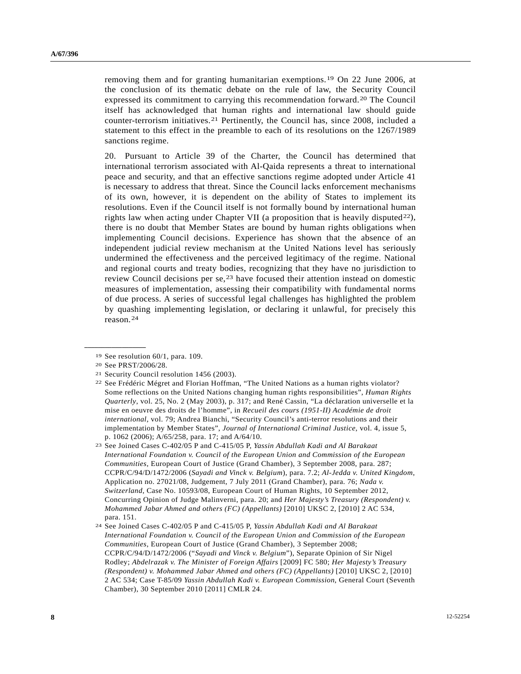removing them and for granting humanitarian exemptions.[1](#page-7-0)9 On 22 June 2006, at the conclusion of its thematic debate on the rule of law, the Security Council expressed its commitment to carrying this recommendation forward.[2](#page-7-1)0 The Council itself has acknowledged that human rights and international law should guide counter-terrorism initiatives.[2](#page-7-2)1 Pertinently, the Council has, since 2008, included a statement to this effect in the preamble to each of its resolutions on the 1267/1989 sanctions regime.

20. Pursuant to Article 39 of the Charter, the Council has determined that international terrorism associated with Al-Qaida represents a threat to international peace and security, and that an effective sanctions regime adopted under Article 41 is necessary to address that threat. Since the Council lacks enforcement mechanisms of its own, however, it is dependent on the ability of States to implement its resolutions. Even if the Council itself is not formally bound by international human rights law when acting under Chapter VII (a proposition that is heavily disputed  $22$  $22$ ), there is no doubt that Member States are bound by human rights obligations when implementing Council decisions. Experience has shown that the absence of an independent judicial review mechanism at the United Nations level has seriously undermined the effectiveness and the perceived legitimacy of the regime. National and regional courts and treaty bodies, recognizing that they have no jurisdiction to review Council decisions per  $se^{23}$  $se^{23}$  $se^{23}$  have focused their attention instead on domestic measures of implementation, assessing their compatibility with fundamental norms of due process. A series of successful legal challenges has highlighted the problem by quashing implementing legislation, or declaring it unlawful, for precisely this reason.[24](#page-7-5)

<sup>19</sup> See resolution 60/1, para. 109.

<span id="page-7-1"></span><span id="page-7-0"></span><sup>20</sup> See PRST/2006/28.

<span id="page-7-3"></span><span id="page-7-2"></span><sup>21</sup> Security Council resolution 1456 (2003).

<sup>22</sup> See Frédéric Mégret and Florian Hoffman, "The United Nations as a human rights violator? Some reflections on the United Nations changing human rights responsibilities", *Human Rights Quarterly*, vol. 25, No. 2 (May 2003), p. 317; and René Cassin, "La déclaration universelle et la mise en oeuvre des droits de l'homme", in *Recueil des cours (1951-II) Académie de droit international*, vol. 79; Andrea Bianchi, "Security Council's anti-terror resolutions and their implementation by Member States", *Journal of International Criminal Justice*, vol. 4, issue 5, p. 1062 (2006); A/65/258, para. 17; and A/64/10.

<span id="page-7-4"></span><sup>23</sup> See Joined Cases C-402/05 P and C-415/05 P, *Yassin Abdullah Kadi and Al Barakaat International Foundation v. Council of the European Union and Commission of the European Communities*, European Court of Justice (Grand Chamber), 3 September 2008, para. 287; CCPR/C/94/D/1472/2006 (*Sayadi and Vinck v. Belgium*), para. 7.2; *Al-Jedda v. United Kingdom*, Application no. 27021/08, Judgement, 7 July 2011 (Grand Chamber), para. 76; *Nada v. Switzerland*, Case No. 10593/08, European Court of Human Rights, 10 September 2012, Concurring Opinion of Judge Malinverni, para. 20; and *Her Majesty's Treasury (Respondent) v. Mohammed Jabar Ahmed and others (FC) (Appellants)* [2010] UKSC 2, [2010] 2 AC 534, para. 151.

<span id="page-7-5"></span><sup>24</sup> See Joined Cases C-402/05 P and C-415/05 P, *Yassin Abdullah Kadi and Al Barakaat International Foundation v. Council of the European Union and Commission of the European Communities*, European Court of Justice (Grand Chamber), 3 September 2008; CCPR/C/94/D/1472/2006 ("*Sayadi and Vinck v. Belgium*"), Separate Opinion of Sir Nigel Rodley; *Abdelrazak v. The Minister of Foreign Affairs* [2009] FC 580; *Her Majesty's Treasury (Respondent) v. Mohammed Jabar Ahmed and others (FC) (Appellants)* [2010] UKSC 2, [2010] 2 AC 534; Case T-85/09 *Yassin Abdullah Kadi v. European Commission*, General Court (Seventh Chamber), 30 September 2010 [2011] CMLR 24.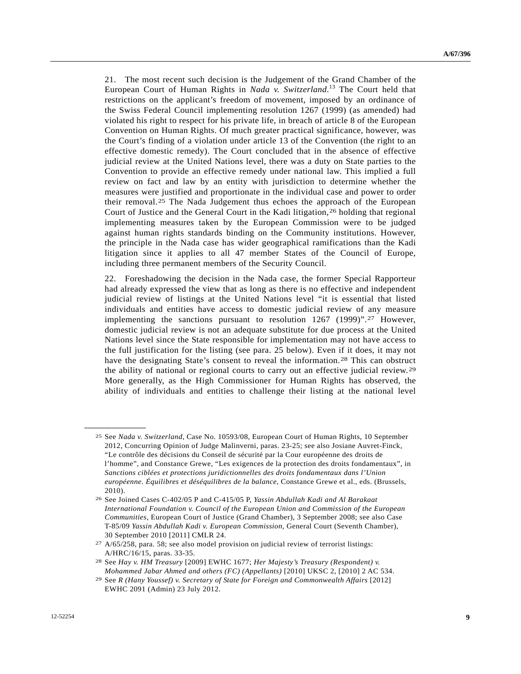21. The most recent such decision is the Judgement of the Grand Chamber of the European Court of Human Rights in *Nada v. Switzerland*. 13 The Court held that restrictions on the applicant's freedom of movement, imposed by an ordinance of the Swiss Federal Council implementing resolution 1267 (1999) (as amended) had violated his right to respect for his private life, in breach of article 8 of the European Convention on Human Rights. Of much greater practical significance, however, was the Court's finding of a violation under article 13 of the Convention (the right to an effective domestic remedy). The Court concluded that in the absence of effective judicial review at the United Nations level, there was a duty on State parties to the Convention to provide an effective remedy under national law. This implied a full review on fact and law by an entity with jurisdiction to determine whether the measures were justified and proportionate in the individual case and power to order their removal.[2](#page-8-0)5 The Nada Judgement thus echoes the approach of the European Court of Justice and the General Court in the Kadi litigation,  $26$  $26$  holding that regional implementing measures taken by the European Commission were to be judged against human rights standards binding on the Community institutions. However, the principle in the Nada case has wider geographical ramifications than the Kadi litigation since it applies to all 47 member States of the Council of Europe, including three permanent members of the Security Council.

22. Foreshadowing the decision in the Nada case, the former Special Rapporteur had already expressed the view that as long as there is no effective and independent judicial review of listings at the United Nations level "it is essential that listed individuals and entities have access to domestic judicial review of any measure implementing the sanctions pursuant to resolution 1267 (1999)".[2](#page-8-2)7 However, domestic judicial review is not an adequate substitute for due process at the United Nations level since the State responsible for implementation may not have access to the full justification for the listing (see para. 25 below). Even if it does, it may not have the designating State's consent to reveal the information.[28](#page-8-3) This can obstruct the ability of national or regional courts to carry out an effective judicial review.[29](#page-8-4) More generally, as the High Commissioner for Human Rights has observed, the ability of individuals and entities to challenge their listing at the national level

<span id="page-8-0"></span><sup>25</sup> See *Nada v. Switzerland*, Case No. 10593/08, European Court of Human Rights, 10 September 2012, Concurring Opinion of Judge Malinverni, paras. 23-25; see also Josiane Auvret-Finck, "Le contrôle des décisions du Conseil de sécurité par la Cour européenne des droits de l'homme", and Constance Grewe, "Les exigences de la protection des droits fondamentaux", in *Sanctions ciblées et protections juridictionnelles des droits fondamentaux dans l'Union européenne*. *Équilibres et déséquilibres de la balance*, Constance Grewe et al., eds. (Brussels, 2010).

<span id="page-8-1"></span><sup>26</sup> See Joined Cases C-402/05 P and C-415/05 P, *Yassin Abdullah Kadi and Al Barakaat International Foundation v. Council of the European Union and Commission of the European Communities*, European Court of Justice (Grand Chamber), 3 September 2008; see also Case T-85/09 *Yassin Abdullah Kadi v. European Commission*, General Court (Seventh Chamber), 30 September 2010 [2011] CMLR 24.

<span id="page-8-2"></span><sup>27</sup> A/65/258, para. 58; see also model provision on judicial review of terrorist listings: A/HRC/16/15, paras. 33-35.

<span id="page-8-3"></span><sup>28</sup> See *Hay v. HM Treasury* [2009] EWHC 1677; *Her Majesty's Treasury (Respondent) v. Mohammed Jabar Ahmed and others (FC) (Appellants)* [2010] UKSC 2, [2010] 2 AC 534. 29 See *R (Hany Youssef) v. Secretary of State for Foreign and Commonwealth Affairs* [2012]

<span id="page-8-4"></span>EWHC 2091 (Admin) 23 July 2012.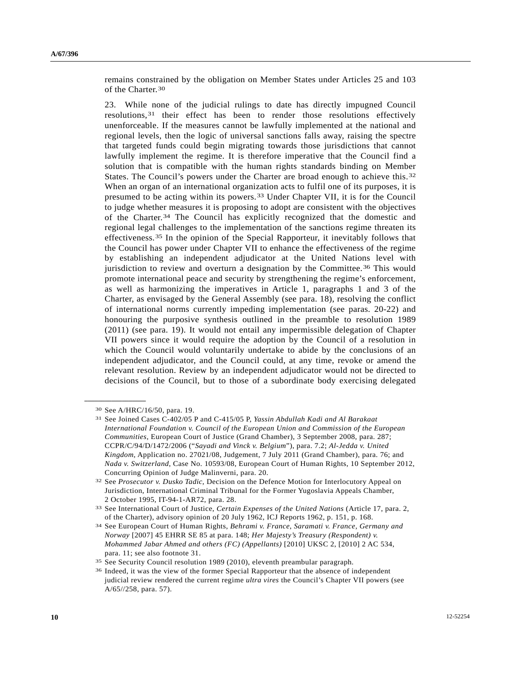remains constrained by the obligation on Member States under Articles 25 and 103 of the Charter.[30](#page-9-0)

23. While none of the judicial rulings to date has directly impugned Council resolutions,[31](#page-9-1) their effect has been to render those resolutions effectively unenforceable. If the measures cannot be lawfully implemented at the national and regional levels, then the logic of universal sanctions falls away, raising the spectre that targeted funds could begin migrating towards those jurisdictions that cannot lawfully implement the regime. It is therefore imperative that the Council find a solution that is compatible with the human rights standards binding on Member States. The Council's powers under the Charter are broad enough to achieve this.[32](#page-9-2) When an organ of an international organization acts to fulfil one of its purposes, it is presumed to be acting within its powers.[3](#page-9-3)3 Under Chapter VII, it is for the Council to judge whether measures it is proposing to adopt are consistent with the objectives of the Charter.[34](#page-9-4) The Council has explicitly recognized that the domestic and regional legal challenges to the implementation of the sanctions regime threaten its effectiveness.[35](#page-9-5) In the opinion of the Special Rapporteur, it inevitably follows that the Council has power under Chapter VII to enhance the effectiveness of the regime by establishing an independent adjudicator at the United Nations level with jurisdiction to review and overturn a designation by the Committee.<sup>[3](#page-9-6)6</sup> This would promote international peace and security by strengthening the regime's enforcement, as well as harmonizing the imperatives in Article 1, paragraphs 1 and 3 of the Charter, as envisaged by the General Assembly (see para. 18), resolving the conflict of international norms currently impeding implementation (see paras. 20-22) and honouring the purposive synthesis outlined in the preamble to resolution 1989 (2011) (see para. 19). It would not entail any impermissible delegation of Chapter VII powers since it would require the adoption by the Council of a resolution in which the Council would voluntarily undertake to abide by the conclusions of an independent adjudicator, and the Council could, at any time, revoke or amend the relevant resolution. Review by an independent adjudicator would not be directed to decisions of the Council, but to those of a subordinate body exercising delegated

<span id="page-9-0"></span><sup>30</sup> See A/HRC/16/50, para. 19.

<span id="page-9-1"></span><sup>31</sup> See Joined Cases C-402/05 P and C-415/05 P, *Yassin Abdullah Kadi and Al Barakaat International Foundation v. Council of the European Union and Commission of the European Communities*, European Court of Justice (Grand Chamber), 3 September 2008, para. 287; CCPR/C/94/D/1472/2006 ("*Sayadi and Vinck v. Belgium*"), para. 7.2; *Al-Jedda v. United Kingdom*, Application no. 27021/08, Judgement, 7 July 2011 (Grand Chamber), para. 76; and *Nada v. Switzerland*, Case No. 10593/08, European Court of Human Rights, 10 September 2012, Concurring Opinion of Judge Malinverni, para. 20.

<span id="page-9-2"></span><sup>32</sup> See *Prosecutor v. Dusko Tadic*, Decision on the Defence Motion for Interlocutory Appeal on Jurisdiction, International Criminal Tribunal for the Former Yugoslavia Appeals Chamber, 2 October 1995, IT-94-1-AR72, para. 28.

<span id="page-9-3"></span><sup>33</sup> See International Court of Justice, *Certain Expenses of the United Nations* (Article 17, para. 2, of the Charter), advisory opinion of 20 July 1962, ICJ Reports 1962, p. 151, p. 168.

<span id="page-9-4"></span><sup>34</sup> See European Court of Human Rights, *Behrami v. France*, *Saramati v. France, Germany and Norway* [2007] 45 EHRR SE 85 at para. 148; *Her Majesty's Treasury (Respondent) v. Mohammed Jabar Ahmed and others (FC) (Appellants)* [2010] UKSC 2, [2010] 2 AC 534, para. 11; see also footnote 31.

<span id="page-9-6"></span><span id="page-9-5"></span>

<sup>&</sup>lt;sup>35</sup> See Security Council resolution 1989 (2010), eleventh preambular paragraph.<br><sup>36</sup> Indeed, it was the view of the former Special Rapporteur that the absence of independent judicial review rendered the current regime *ultra vires* the Council's Chapter VII powers (see A/65//258, para. 57).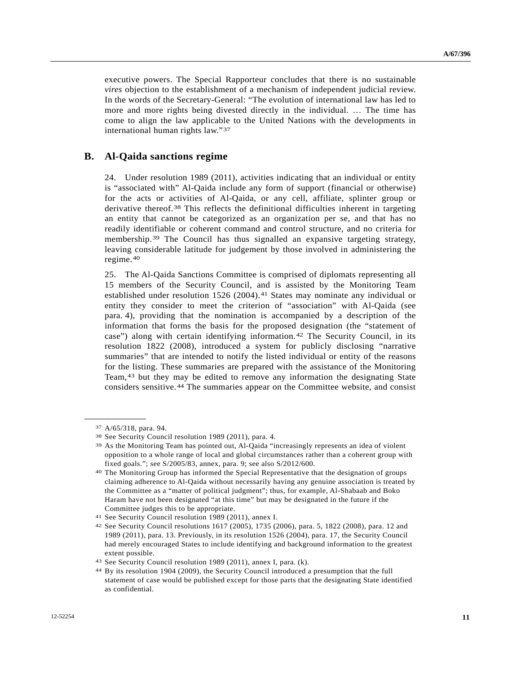executive powers. The Special Rapporteur concludes that there is no sustainable *vires* objection to the establishment of a mechanism of independent judicial review. In the words of the Secretary-General: "The evolution of international law has led to more and more rights being divested directly in the individual. … The time has come to align the law applicable to the United Nations with the developments in international human rights law."[37](#page-10-0)

#### **B. Al-Qaida sanctions regime**

24. Under resolution 1989 (2011), activities indicating that an individual or entity is "associated with" Al-Qaida include any form of support (financial or otherwise) for the acts or activities of Al-Qaida, or any cell, affiliate, splinter group or derivative thereof.[3](#page-10-1)8 This reflects the definitional difficulties inherent in targeting an entity that cannot be categorized as an organization per se, and that has no readily identifiable or coherent command and control structure, and no criteria for membership.[3](#page-10-2)9 The Council has thus signalled an expansive targeting strategy, leaving considerable latitude for judgement by those involved in administering the regime.[4](#page-10-3)0

25. The Al-Qaida Sanctions Committee is comprised of diplomats representing all 15 members of the Security Council, and is assisted by the Monitoring Team established under resolution 1526 (2004).<sup>[41](#page-10-4)</sup> States may nominate any individual or entity they consider to meet the criterion of "association" with Al-Qaida (see para. 4), providing that the nomination is accompanied by a description of the information that forms the basis for the proposed designation (the "statement of case") along with certain identifying information.[4](#page-10-5)2 The Security Council, in its resolution 1822 (2008), introduced a system for publicly disclosing "narrative summaries" that are intended to notify the listed individual or entity of the reasons for the listing. These summaries are prepared with the assistance of the Monitoring Team,[4](#page-10-6)3 but they may be edited to remove any information the designating State considers sensitive.[4](#page-10-7)4 The summaries appear on the Committee website, and consist

<span id="page-10-0"></span><sup>37</sup> A/65/318, para. 94.

<span id="page-10-1"></span><sup>38</sup> See Security Council resolution 1989 (2011), para. 4.

<span id="page-10-2"></span><sup>39</sup> As the Monitoring Team has pointed out, Al-Qaida "increasingly represents an idea of violent opposition to a whole range of local and global circumstances rather than a coherent group with fixed goals."; see S/2005/83, annex, para. 9; see also S/2012/600.

<span id="page-10-3"></span><sup>40</sup> The Monitoring Group has informed the Special Representative that the designation of groups claiming adherence to Al-Qaida without necessarily having any genuine association is treated by the Committee as a "matter of political judgment"; thus, for example, Al-Shabaab and Boko Haram have not been designated "at this time" but may be designated in the future if the Committee judges this to be appropriate.

<span id="page-10-4"></span><sup>41</sup> See Security Council resolution 1989 (2011), annex I.

<span id="page-10-5"></span><sup>42</sup> See Security Council resolutions 1617 (2005), 1735 (2006), para. 5, 1822 (2008), para. 12 and 1989 (2011), para. 13. Previously, in its resolution 1526 (2004), para. 17, the Security Council had merely encouraged States to include identifying and background information to the greatest extent possible.

<span id="page-10-6"></span><sup>43</sup> See Security Council resolution 1989 (2011), annex I, para. (k).

<span id="page-10-7"></span><sup>44</sup> By its resolution 1904 (2009), the Security Council introduced a presumption that the full statement of case would be published except for those parts that the designating State identified as confidential.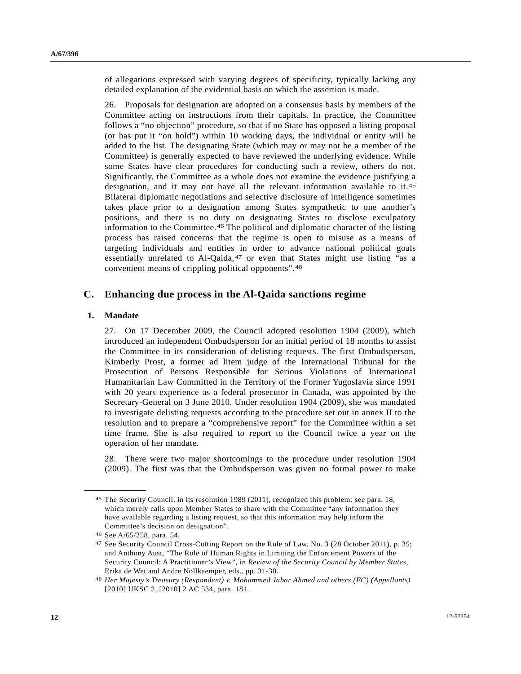of allegations expressed with varying degrees of specificity, typically lacking any detailed explanation of the evidential basis on which the assertion is made.

26. Proposals for designation are adopted on a consensus basis by members of the Committee acting on instructions from their capitals. In practice, the Committee follows a "no objection" procedure, so that if no State has opposed a listing proposal (or has put it "on hold") within 10 working days, the individual or entity will be added to the list. The designating State (which may or may not be a member of the Committee) is generally expected to have reviewed the underlying evidence. While some States have clear procedures for conducting such a review, others do not. Significantly, the Committee as a whole does not examine the evidence justifying a designation, and it may not have all the relevant information available to it.[45](#page-11-0) Bilateral diplomatic negotiations and selective disclosure of intelligence sometimes takes place prior to a designation among States sympathetic to one another's positions, and there is no duty on designating States to disclose exculpatory information to the Committee.[4](#page-11-1)6 The political and diplomatic character of the listing process has raised concerns that the regime is open to misuse as a means of targeting individuals and entities in order to advance national political goals essentially unrelated to  $Al$ -Qaida, $47$  $47$  or even that States might use listing "as a convenient means of crippling political opponents".[4](#page-11-3)8

#### **C. Enhancing due process in the Al-Qaida sanctions regime**

#### **1. Mandate**

27. On 17 December 2009, the Council adopted resolution 1904 (2009), which introduced an independent Ombudsperson for an initial period of 18 months to assist the Committee in its consideration of delisting requests. The first Ombudsperson, Kimberly Prost, a former ad litem judge of the International Tribunal for the Prosecution of Persons Responsible for Serious Violations of International Humanitarian Law Committed in the Territory of the Former Yugoslavia since 1991 with 20 years experience as a federal prosecutor in Canada, was appointed by the Secretary-General on 3 June 2010. Under resolution 1904 (2009), she was mandated to investigate delisting requests according to the procedure set out in annex II to the resolution and to prepare a "comprehensive report" for the Committee within a set time frame. She is also required to report to the Council twice a year on the operation of her mandate.

28. There were two major shortcomings to the procedure under resolution 1904 (2009). The first was that the Ombudsperson was given no formal power to make

<span id="page-11-0"></span><sup>45</sup> The Security Council, in its resolution 1989 (2011), recognized this problem: see para. 18, which merely calls upon Member States to share with the Committee "any information they have available regarding a listing request, so that this information may help inform the Committee's decision on designation".

<span id="page-11-2"></span><span id="page-11-1"></span><sup>46</sup> See A/65/258, para. 54.

<sup>47</sup> See Security Council Cross-Cutting Report on the Rule of Law, No. 3 (28 October 2011), p. 35; and Anthony Aust, "The Role of Human Rights in Limiting the Enforcement Powers of the Security Council: A Practitioner's View", in *Review of the Security Council by Member States*, Erika de Wet and Andre Nollkaemper, eds., pp. 31-38.

<span id="page-11-3"></span><sup>48</sup> *Her Majesty's Treasury (Respondent) v. Mohammed Jabar Ahmed and others (FC) (Appellants)* [2010] UKSC 2, [2010] 2 AC 534, para. 181.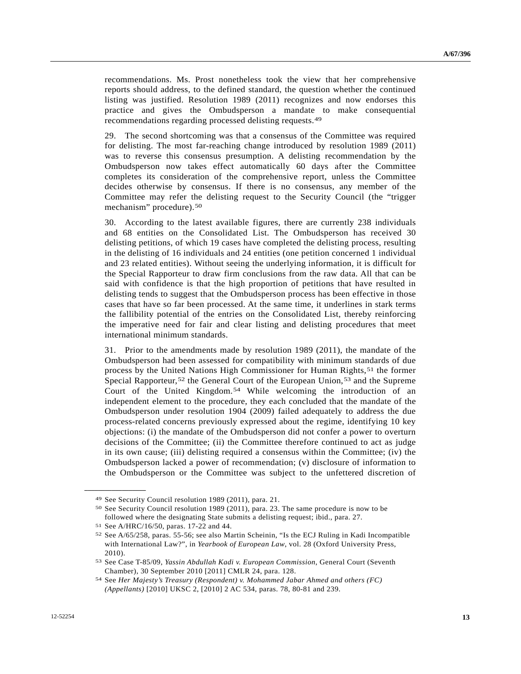recommendations. Ms. Prost nonetheless took the view that her comprehensive reports should address, to the defined standard, the question whether the continued listing was justified. Resolution 1989 (2011) recognizes and now endorses this practice and gives the Ombudsperson a mandate to make consequential recommendations regarding processed delisting requests.[49](#page-12-0)

29. The second shortcoming was that a consensus of the Committee was required for delisting. The most far-reaching change introduced by resolution 1989 (2011) was to reverse this consensus presumption. A delisting recommendation by the Ombudsperson now takes effect automatically 60 days after the Committee completes its consideration of the comprehensive report, unless the Committee decides otherwise by consensus. If there is no consensus, any member of the Committee may refer the delisting request to the Security Council (the "trigger mechanism" procedure).[5](#page-12-1)0

30. According to the latest available figures, there are currently 238 individuals and 68 entities on the Consolidated List. The Ombudsperson has received 30 delisting petitions, of which 19 cases have completed the delisting process, resulting in the delisting of 16 individuals and 24 entities (one petition concerned 1 individual and 23 related entities). Without seeing the underlying information, it is difficult for the Special Rapporteur to draw firm conclusions from the raw data. All that can be said with confidence is that the high proportion of petitions that have resulted in delisting tends to suggest that the Ombudsperson process has been effective in those cases that have so far been processed. At the same time, it underlines in stark terms the fallibility potential of the entries on the Consolidated List, thereby reinforcing the imperative need for fair and clear listing and delisting procedures that meet international minimum standards.

31. Prior to the amendments made by resolution 1989 (2011), the mandate of the Ombudsperson had been assessed for compatibility with minimum standards of due process by the United Nations High Commissioner for Human Rights,[5](#page-12-2)1 the former Special Rapporteur,<sup>[5](#page-12-4)2</sup> the General Court of the European Union,<sup>53</sup> and the Supreme Court of the United Kingdom.[5](#page-12-5)4 While welcoming the introduction of an independent element to the procedure, they each concluded that the mandate of the Ombudsperson under resolution 1904 (2009) failed adequately to address the due process-related concerns previously expressed about the regime, identifying 10 key objections: (i) the mandate of the Ombudsperson did not confer a power to overturn decisions of the Committee; (ii) the Committee therefore continued to act as judge in its own cause; (iii) delisting required a consensus within the Committee; (iv) the Ombudsperson lacked a power of recommendation; (v) disclosure of information to the Ombudsperson or the Committee was subject to the unfettered discretion of

<span id="page-12-0"></span><sup>49</sup> See Security Council resolution 1989 (2011), para. 21.

<span id="page-12-1"></span><sup>50</sup> See Security Council resolution 1989 (2011), para. 23. The same procedure is now to be followed where the designating State submits a delisting request; ibid., para. 27.

<span id="page-12-2"></span><sup>51</sup> See A/HRC/16/50, paras. 17-22 and 44.

<span id="page-12-3"></span><sup>52</sup> See A/65/258, paras. 55-56; see also Martin Scheinin, "Is the ECJ Ruling in Kadi Incompatible with International Law?", in *Yearbook of European Law*, vol. 28 (Oxford University Press, 2010).

<span id="page-12-4"></span><sup>53</sup> See Case T-85/09, *Yassin Abdullah Kadi v. European Commission*, General Court (Seventh Chamber), 30 September 2010 [2011] CMLR 24, para. 128.

<span id="page-12-5"></span><sup>54</sup> See *Her Majesty's Treasury (Respondent) v. Mohammed Jabar Ahmed and others (FC) (Appellants)* [2010] UKSC 2, [2010] 2 AC 534, paras. 78, 80-81 and 239.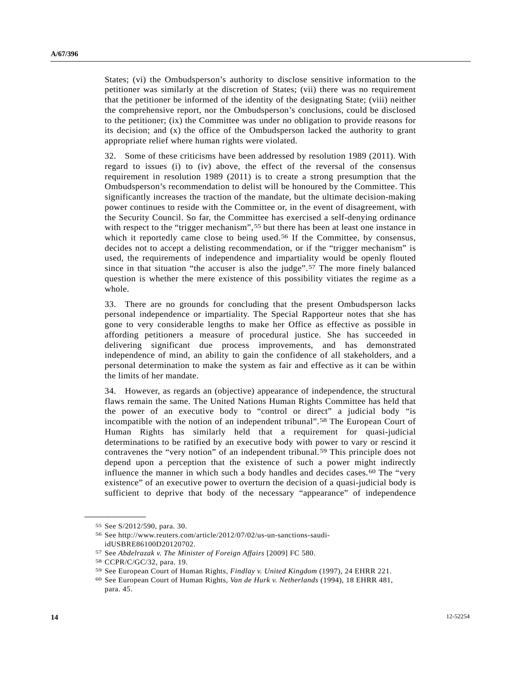States; (vi) the Ombudsperson's authority to disclose sensitive information to the petitioner was similarly at the discretion of States; (vii) there was no requirement that the petitioner be informed of the identity of the designating State; (viii) neither the comprehensive report, nor the Ombudsperson's conclusions, could be disclosed to the petitioner; (ix) the Committee was under no obligation to provide reasons for its decision; and (x) the office of the Ombudsperson lacked the authority to grant appropriate relief where human rights were violated.

32. Some of these criticisms have been addressed by resolution 1989 (2011). With regard to issues (i) to (iv) above, the effect of the reversal of the consensus requirement in resolution 1989 (2011) is to create a strong presumption that the Ombudsperson's recommendation to delist will be honoured by the Committee. This significantly increases the traction of the mandate, but the ultimate decision-making power continues to reside with the Committee or, in the event of disagreement, with the Security Council. So far, the Committee has exercised a self-denying ordinance with respect to the "trigger mechanism",<sup>[55](#page-13-0)</sup> but there has been at least one instance in which it reportedly came close to being used.<sup>[56](#page-13-1)</sup> If the Committee, by consensus, decides not to accept a delisting recommendation, or if the "trigger mechanism" is used, the requirements of independence and impartiality would be openly flouted since in that situation "the accuser is also the judge".<sup>[57](#page-13-2)</sup> The more finely balanced question is whether the mere existence of this possibility vitiates the regime as a whole.

33. There are no grounds for concluding that the present Ombudsperson lacks personal independence or impartiality. The Special Rapporteur notes that she has gone to very considerable lengths to make her Office as effective as possible in affording petitioners a measure of procedural justice. She has succeeded in delivering significant due process improvements, and has demonstrated independence of mind, an ability to gain the confidence of all stakeholders, and a personal determination to make the system as fair and effective as it can be within the limits of her mandate.

34. However, as regards an (objective) appearance of independence, the structural flaws remain the same. The United Nations Human Rights Committee has held that the power of an executive body to "control or direct" a judicial body "is incompatible with the notion of an independent tribunal".[5](#page-13-3)8 The European Court of Human Rights has similarly held that a requirement for quasi-judicial determinations to be ratified by an executive body with power to vary or rescind it contravenes the "very notion" of an independent tribunal.[5](#page-13-4)9 This principle does not depend upon a perception that the existence of such a power might indirectly influence the manner in which such a body handles and decides cases.<sup>[60](#page-13-5)</sup> The "very existence" of an executive power to overturn the decision of a quasi-judicial body is sufficient to deprive that body of the necessary "appearance" of independence

<span id="page-13-0"></span><sup>55</sup> See S/2012/590, para. 30.

<span id="page-13-1"></span><sup>56</sup> See http://www.reuters.com/article/2012/07/02/us-un-sanctions-saudiidUSBRE86100D20120702.

<span id="page-13-3"></span><span id="page-13-2"></span><sup>57</sup> See *Abdelrazak v. The Minister of Foreign Affairs* [2009] FC 580. 58 CCPR/C/GC/32, para. 19.

<sup>59</sup> See European Court of Human Rights, *Findlay v. United Kingdom* (1997), 24 EHRR 221. 60 See European Court of Human Rights, *Van de Hurk v. Netherlands* (1994), 18 EHRR 481,

<span id="page-13-5"></span><span id="page-13-4"></span>para. 45.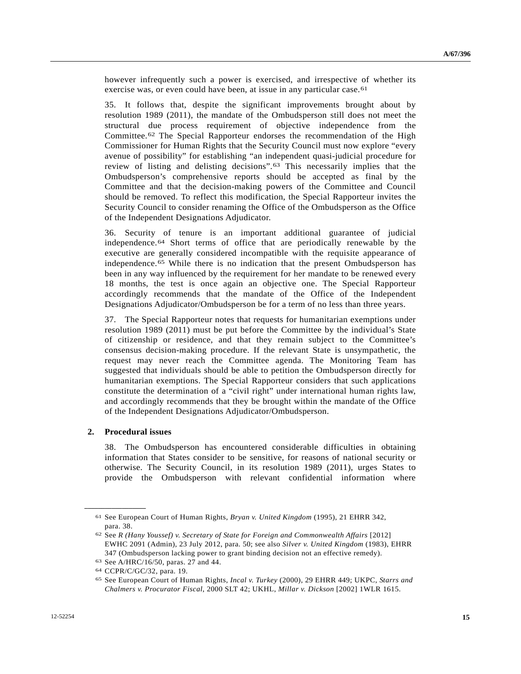however infrequently such a power is exercised, and irrespective of whether its exercise was, or even could have been, at issue in any particular case.<sup>[6](#page-14-0)1</sup>

35. It follows that, despite the significant improvements brought about by resolution 1989 (2011), the mandate of the Ombudsperson still does not meet the structural due process requirement of objective independence from the Committee.[6](#page-14-1)2 The Special Rapporteur endorses the recommendation of the High Commissioner for Human Rights that the Security Council must now explore "every avenue of possibility" for establishing "an independent quasi-judicial procedure for review of listing and delisting decisions".[6](#page-14-2)3 This necessarily implies that the Ombudsperson's comprehensive reports should be accepted as final by the Committee and that the decision-making powers of the Committee and Council should be removed. To reflect this modification, the Special Rapporteur invites the Security Council to consider renaming the Office of the Ombudsperson as the Office of the Independent Designations Adjudicator.

36. Security of tenure is an important additional guarantee of judicial independence.[64](#page-14-3) Short terms of office that are periodically renewable by the executive are generally considered incompatible with the requisite appearance of independence.[65](#page-14-4) While there is no indication that the present Ombudsperson has been in any way influenced by the requirement for her mandate to be renewed every 18 months, the test is once again an objective one. The Special Rapporteur accordingly recommends that the mandate of the Office of the Independent Designations Adjudicator/Ombudsperson be for a term of no less than three years.

37. The Special Rapporteur notes that requests for humanitarian exemptions under resolution 1989 (2011) must be put before the Committee by the individual's State of citizenship or residence, and that they remain subject to the Committee's consensus decision-making procedure. If the relevant State is unsympathetic, the request may never reach the Committee agenda. The Monitoring Team has suggested that individuals should be able to petition the Ombudsperson directly for humanitarian exemptions. The Special Rapporteur considers that such applications constitute the determination of a "civil right" under international human rights law, and accordingly recommends that they be brought within the mandate of the Office of the Independent Designations Adjudicator/Ombudsperson.

#### **2. Procedural issues**

<span id="page-14-1"></span><span id="page-14-0"></span>**\_\_\_\_\_\_\_\_\_\_\_\_\_\_\_\_\_\_** 

38. The Ombudsperson has encountered considerable difficulties in obtaining information that States consider to be sensitive, for reasons of national security or otherwise. The Security Council, in its resolution 1989 (2011), urges States to provide the Ombudsperson with relevant confidential information where

<sup>61</sup> See European Court of Human Rights, *Bryan v. United Kingdom* (1995), 21 EHRR 342, para. 38.

<sup>62</sup> See *R (Hany Youssef) v. Secretary of State for Foreign and Commonwealth Affairs* [2012] EWHC 2091 (Admin), 23 July 2012, para. 50; see also *Silver v. United Kingdom* (1983), EHRR 347 (Ombudsperson lacking power to grant binding decision not an effective remedy).

<span id="page-14-2"></span><sup>63</sup> See A/HRC/16/50, paras. 27 and 44.

<span id="page-14-3"></span><sup>64</sup> CCPR/C/GC/32, para. 19.

<span id="page-14-4"></span><sup>65</sup> See European Court of Human Rights, *Incal v. Turkey* (2000), 29 EHRR 449; UKPC, *Starrs and Chalmers v. Procurator Fiscal*, 2000 SLT 42; UKHL, *Millar v. Dickson* [2002] 1WLR 1615.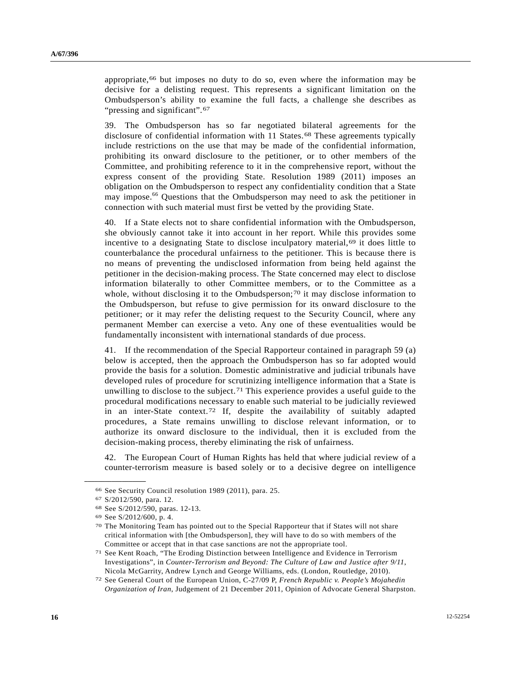appropriate,<sup>[66](#page-15-0)</sup> but imposes no duty to do so, even where the information may be decisive for a delisting request. This represents a significant limitation on the Ombudsperson's ability to examine the full facts, a challenge she describes as "pressing and significant".<sup>[67](#page-15-1)</sup>

39. The Ombudsperson has so far negotiated bilateral agreements for the disclosure of confidential information with 11 States.<sup>[68](#page-15-2)</sup> These agreements typically include restrictions on the use that may be made of the confidential information, prohibiting its onward disclosure to the petitioner, or to other members of the Committee, and prohibiting reference to it in the comprehensive report, without the express consent of the providing State. Resolution 1989 (2011) imposes an obligation on the Ombudsperson to respect any confidentiality condition that a State may impose.<sup>66</sup> Questions that the Ombudsperson may need to ask the petitioner in connection with such material must first be vetted by the providing State.

40. If a State elects not to share confidential information with the Ombudsperson, she obviously cannot take it into account in her report. While this provides some incentive to a designating State to disclose inculpatory material,<sup>[6](#page-15-3)9</sup> it does little to counterbalance the procedural unfairness to the petitioner. This is because there is no means of preventing the undisclosed information from being held against the petitioner in the decision-making process. The State concerned may elect to disclose information bilaterally to other Committee members, or to the Committee as a whole, without disclosing it to the Ombudsperson;<sup>[7](#page-15-4)0</sup> it may disclose information to the Ombudsperson, but refuse to give permission for its onward disclosure to the petitioner; or it may refer the delisting request to the Security Council, where any permanent Member can exercise a veto. Any one of these eventualities would be fundamentally inconsistent with international standards of due process.

41. If the recommendation of the Special Rapporteur contained in paragraph 59 (a) below is accepted, then the approach the Ombudsperson has so far adopted would provide the basis for a solution. Domestic administrative and judicial tribunals have developed rules of procedure for scrutinizing intelligence information that a State is unwilling to disclose to the subject.<sup>[71](#page-15-5)</sup> This experience provides a useful guide to the procedural modifications necessary to enable such material to be judicially reviewed in an inter-State context.[7](#page-15-6)2 If, despite the availability of suitably adapted procedures, a State remains unwilling to disclose relevant information, or to authorize its onward disclosure to the individual, then it is excluded from the decision-making process, thereby eliminating the risk of unfairness.

42. The European Court of Human Rights has held that where judicial review of a counter-terrorism measure is based solely or to a decisive degree on intelligence

<span id="page-15-1"></span><span id="page-15-0"></span><sup>66</sup> See Security Council resolution 1989 (2011), para. 25.

<sup>67</sup> S/2012/590, para. 12.

<sup>68</sup> See S/2012/590, paras. 12-13.

<span id="page-15-4"></span><span id="page-15-3"></span><span id="page-15-2"></span><sup>69</sup> See S/2012/600, p. 4.

<sup>70</sup> The Monitoring Team has pointed out to the Special Rapporteur that if States will not share critical information with [the Ombudsperson], they will have to do so with members of the Committee or accept that in that case sanctions are not the appropriate tool.

<span id="page-15-5"></span><sup>71</sup> See Kent Roach, "The Eroding Distinction between Intelligence and Evidence in Terrorism Investigations", in *Counter-Terrorism and Beyond: The Culture of Law and Justice after 9/11*, Nicola McGarrity, Andrew Lynch and George Williams, eds. (London, Routledge, 2010).

<span id="page-15-6"></span><sup>72</sup> See General Court of the European Union, C-27/09 P, *French Republic v. People's Mojahedin Organization of Iran*, Judgement of 21 December 2011, Opinion of Advocate General Sharpston.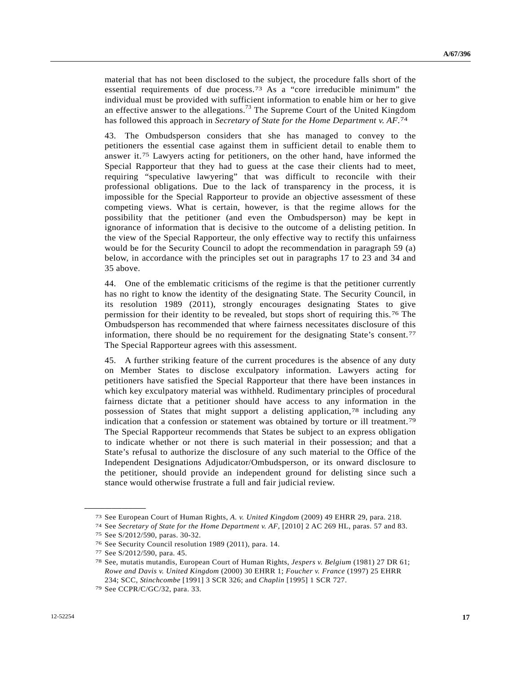material that has not been disclosed to the subject, the procedure falls short of the essential requirements of due process.[7](#page-16-0)3 As a "core irreducible minimum" the individual must be provided with sufficient information to enable him or her to give an effective answer to the allegations.<sup>73</sup> The Supreme Court of the United Kingdom has followed this approach in *Secretary of State for the Home Department v. AF*.[74](#page-16-1)

43. The Ombudsperson considers that she has managed to convey to the petitioners the essential case against them in sufficient detail to enable them to answer it.[7](#page-16-2)5 Lawyers acting for petitioners, on the other hand, have informed the Special Rapporteur that they had to guess at the case their clients had to meet, requiring "speculative lawyering" that was difficult to reconcile with their professional obligations. Due to the lack of transparency in the process, it is impossible for the Special Rapporteur to provide an objective assessment of these competing views. What is certain, however, is that the regime allows for the possibility that the petitioner (and even the Ombudsperson) may be kept in ignorance of information that is decisive to the outcome of a delisting petition. In the view of the Special Rapporteur, the only effective way to rectify this unfairness would be for the Security Council to adopt the recommendation in paragraph 59 (a) below, in accordance with the principles set out in paragraphs 17 to 23 and 34 and 35 above.

44. One of the emblematic criticisms of the regime is that the petitioner currently has no right to know the identity of the designating State. The Security Council, in its resolution 1989 (2011), strongly encourages designating States to give permission for their identity to be revealed, but stops short of requiring this.[76](#page-16-3) The Ombudsperson has recommended that where fairness necessitates disclosure of this information, there should be no requirement for the designating State's consent.[77](#page-16-4) The Special Rapporteur agrees with this assessment.

45. A further striking feature of the current procedures is the absence of any duty on Member States to disclose exculpatory information. Lawyers acting for petitioners have satisfied the Special Rapporteur that there have been instances in which key exculpatory material was withheld. Rudimentary principles of procedural fairness dictate that a petitioner should have access to any information in the possession of States that might support a delisting application,[78](#page-16-5) including any indication that a confession or statement was obtained by torture or ill treatment.<sup>[79](#page-16-6)</sup> The Special Rapporteur recommends that States be subject to an express obligation to indicate whether or not there is such material in their possession; and that a State's refusal to authorize the disclosure of any such material to the Office of the Independent Designations Adjudicator/Ombudsperson, or its onward disclosure to the petitioner, should provide an independent ground for delisting since such a stance would otherwise frustrate a full and fair judicial review.

<span id="page-16-1"></span><span id="page-16-0"></span><sup>&</sup>lt;sup>73</sup> See European Court of Human Rights, *A. v. United Kingdom* (2009) 49 EHRR 29, para. 218.<br><sup>74</sup> See Secretary of State for the Home Department v. AF, [2010] 2 AC 269 HL, paras. 57 and 83.<br><sup>75</sup> See S/2012/590, paras. 30-

<span id="page-16-3"></span><span id="page-16-2"></span><sup>76</sup> See Security Council resolution 1989 (2011), para. 14.

<span id="page-16-4"></span><sup>77</sup> See S/2012/590, para. 45.

<span id="page-16-5"></span><sup>78</sup> See, mutatis mutandis, European Court of Human Rights, *Jespers v. Belgium* (1981) 27 DR 61; *Rowe and Davis v. United Kingdom* (2000) 30 EHRR 1; *Foucher v. France* (1997) 25 EHRR 234; SCC, *Stinchcombe* [1991] 3 SCR 326; and *Chaplin* [1995] 1 SCR 727. 79 See CCPR/C/GC/32, para. 33.

<span id="page-16-6"></span>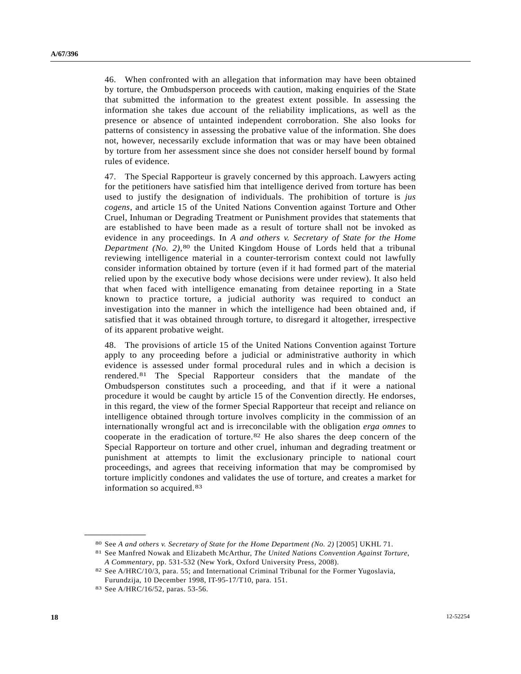46. When confronted with an allegation that information may have been obtained by torture, the Ombudsperson proceeds with caution, making enquiries of the State that submitted the information to the greatest extent possible. In assessing the information she takes due account of the reliability implications, as well as the presence or absence of untainted independent corroboration. She also looks for patterns of consistency in assessing the probative value of the information. She does not, however, necessarily exclude information that was or may have been obtained by torture from her assessment since she does not consider herself bound by formal rules of evidence.

47. The Special Rapporteur is gravely concerned by this approach. Lawyers acting for the petitioners have satisfied him that intelligence derived from torture has been used to justify the designation of individuals. The prohibition of torture is *jus cogens*, and article 15 of the United Nations Convention against Torture and Other Cruel, Inhuman or Degrading Treatment or Punishment provides that statements that are established to have been made as a result of torture shall not be invoked as evidence in any proceedings. In *A and others v. Secretary of State for the Home Department (No. 2)*,<sup>[8](#page-17-0)0</sup> the United Kingdom House of Lords held that a tribunal reviewing intelligence material in a counter-terrorism context could not lawfully consider information obtained by torture (even if it had formed part of the material relied upon by the executive body whose decisions were under review). It also held that when faced with intelligence emanating from detainee reporting in a State known to practice torture, a judicial authority was required to conduct an investigation into the manner in which the intelligence had been obtained and, if satisfied that it was obtained through torture, to disregard it altogether, irrespective of its apparent probative weight.

48. The provisions of article 15 of the United Nations Convention against Torture apply to any proceeding before a judicial or administrative authority in which evidence is assessed under formal procedural rules and in which a decision is rendered.[8](#page-17-1)1 The Special Rapporteur considers that the mandate of the Ombudsperson constitutes such a proceeding, and that if it were a national procedure it would be caught by article 15 of the Convention directly. He endorses, in this regard, the view of the former Special Rapporteur that receipt and reliance on intelligence obtained through torture involves complicity in the commission of an internationally wrongful act and is irreconcilable with the obligation *erga omnes* to cooperate in the eradication of torture.[8](#page-17-2)2 He also shares the deep concern of the Special Rapporteur on torture and other cruel, inhuman and degrading treatment or punishment at attempts to limit the exclusionary principle to national court proceedings, and agrees that receiving information that may be compromised by torture implicitly condones and validates the use of torture, and creates a market for information so acquired.[83](#page-17-3)

<span id="page-17-1"></span><span id="page-17-0"></span><sup>80</sup> See *A and others v. Secretary of State for the Home Department (No. 2)* [2005] UKHL 71. 81 See Manfred Nowak and Elizabeth McArthur, *The United Nations Convention Against Torture*,

*A Commentary*, pp. 531-532 (New York, Oxford University Press, 2008). 82 See A/HRC/10/3, para. 55; and International Criminal Tribunal for the Former Yugoslavia,

<span id="page-17-2"></span>Furundzija, 10 December 1998, IT-95-17/T10, para. 151.

<span id="page-17-3"></span><sup>83</sup> See A/HRC/16/52, paras. 53-56.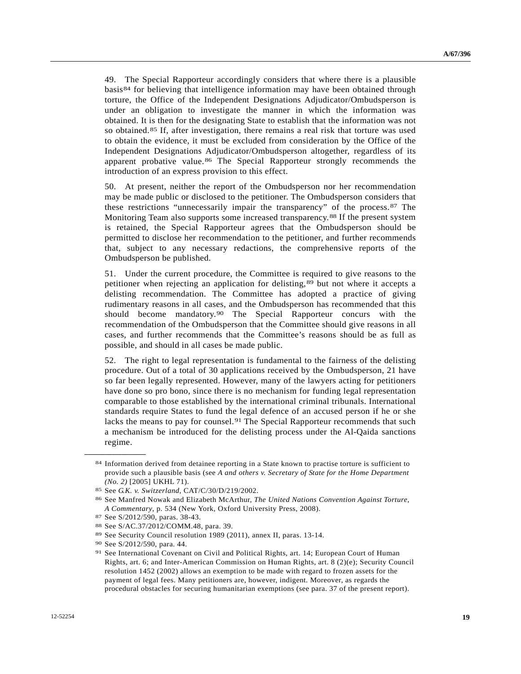<span id="page-18-8"></span>49. The Special Rapporteur accordingly considers that where there is a plausible basis[8](#page-18-0)4 for believing that intelligence information may have been obtained through torture, the Office of the Independent Designations Adjudicator/Ombudsperson is under an obligation to investigate the manner in which the information was obtained. It is then for the designating State to establish that the information was not so obtained.[85](#page-18-1) If, after investigation, there remains a real risk that torture was used to obtain the evidence, it must be excluded from consideration by the Office of the Independent Designations Adjudicator/Ombudsperson altogether, regardless of its apparent probative value.<sup>[86](#page-18-2)</sup> The Special Rapporteur strongly recommends the introduction of an express provision to this effect.

50. At present, neither the report of the Ombudsperson nor her recommendation may be made public or disclosed to the petitioner. The Ombudsperson considers that these restrictions "unnecessarily impair the transparency" of the process.[87](#page-18-3) The Monitoring Team also supports some increased transparency.[88](#page-18-4) If the present system is retained, the Special Rapporteur agrees that the Ombudsperson should be permitted to disclose her recommendation to the petitioner, and further recommends that, subject to any necessary redactions, the comprehensive reports of the Ombudsperson be published.

51. Under the current procedure, the Committee is required to give reasons to the petitioner when rejecting an application for delisting,[89](#page-18-5) but not where it accepts a delisting recommendation. The Committee has adopted a practice of giving rudimentary reasons in all cases, and the Ombudsperson has recommended that this should become mandatory.[90](#page-18-6) The Special Rapporteur concurs with the recommendation of the Ombudsperson that the Committee should give reasons in all cases, and further recommends that the Committee's reasons should be as full as possible, and should in all cases be made public.

52. The right to legal representation is fundamental to the fairness of the delisting procedure. Out of a total of 30 applications received by the Ombudsperson, 21 have so far been legally represented. However, many of the lawyers acting for petitioners have done so pro bono, since there is no mechanism for funding legal representation comparable to those established by the international criminal tribunals. International standards require States to fund the legal defence of an accused person if he or she lacks the means to pay for counsel.[9](#page-18-7)1 The Special Rapporteur recommends that such a mechanism be introduced for the delisting process under the Al-Qaida sanctions regime.

<span id="page-18-0"></span><sup>84</sup> Information derived from detainee reporting in a State known to practise torture is sufficient to provide such a plausible basis (see *A and others v. Secretary of State for the Home Department (No. 2)* [2005] UKHL 71). 85 See *G.K. v. Switzerland*, CAT/C/30/D/219/2002. 86 See Manfred Nowak and Elizabeth McArthur, *The United Nations Convention Against Torture,* 

<span id="page-18-3"></span><span id="page-18-2"></span><span id="page-18-1"></span>*A Commentary*, p. 534 (New York, Oxford University Press, 2008). 87 See S/2012/590, paras. 38-43.

<span id="page-18-4"></span><sup>88</sup> See S/AC.37/2012/COMM.48, para. 39.

<span id="page-18-5"></span><sup>89</sup> See Security Council resolution 1989 (2011), annex II, paras. 13-14.

<span id="page-18-7"></span><span id="page-18-6"></span><sup>90</sup> See S/2012/590, para. 44.

<sup>91</sup> See International Covenant on Civil and Political Rights, art. 14; European Court of Human Rights, art. 6; and Inter-American Commission on Human Rights, art. 8 (2)(e); Security Council resolution 1452 (2002) allows an exemption to be made with regard to frozen assets for the payment of legal fees. Many petitioners are, however, indigent. Moreover, as regards the procedural obstacles for securing humanitarian exemptions (see para. 37 of the present report).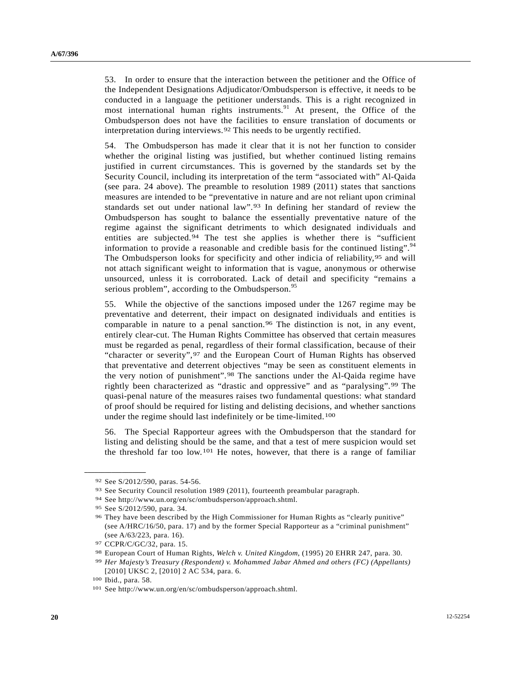<span id="page-19-4"></span>53. In order to ensure that the interaction between the petitioner and the Office of the Independent Designations Adjudicator/Ombudsperson is effective, it needs to be conducted in a language the petitioner understands. This is a right recognized in most international human rights instruments. $91$  At present, the Office of the Ombudsperson does not have the facilities to ensure translation of documents or interpretation during interviews.[9](#page-19-0)2 This needs to be urgently rectified.

54. The Ombudsperson has made it clear that it is not her function to consider whether the original listing was justified, but whether continued listing remains justified in current circumstances. This is governed by the standards set by the Security Council, including its interpretation of the term "associated with" Al-Qaida (see para. 24 above). The preamble to resolution 1989 (2011) states that sanctions measures are intended to be "preventative in nature and are not reliant upon criminal standards set out under national law".[9](#page-19-1)3 In defining her standard of review the Ombudsperson has sought to balance the essentially preventative nature of the regime against the significant detriments to which designated individuals and entities are subjected.<sup>[94](#page-19-2)</sup> The test she applies is whether there is "sufficient information to provide a reasonable and credible basis for the continued listing".<sup>94</sup> The Ombudsperson looks for specificity and other indicia of reliability,  $95$  and will not attach significant weight to information that is vague, anonymous or otherwise unsourced, unless it is corroborated. Lack of detail and specificity "remains a serious problem", according to the Ombudsperson.<sup>[95](#page-19-4)</sup>

55. While the objective of the sanctions imposed under the 1267 regime may be preventative and deterrent, their impact on designated individuals and entities is comparable in nature to a penal sanction.[9](#page-19-5)6 The distinction is not, in any event, entirely clear-cut. The Human Rights Committee has observed that certain measures must be regarded as penal, regardless of their formal classification, because of their "character or severity", <sup>[9](#page-19-6)7</sup> and the European Court of Human Rights has observed that preventative and deterrent objectives "may be seen as constituent elements in the very notion of punishment".[9](#page-19-7)8 The sanctions under the Al-Qaida regime have rightly been characterized as "drastic and oppressive" and as "paralysing".[99](#page-19-8) The quasi-penal nature of the measures raises two fundamental questions: what standard of proof should be required for listing and delisting decisions, and whether sanctions under the regime should last indefinitely or be time-limited.[1](#page-19-9)00

56. The Special Rapporteur agrees with the Ombudsperson that the standard for listing and delisting should be the same, and that a test of mere suspicion would set the threshold far too low.[10](#page-19-10)1 He notes, however, that there is a range of familiar

<span id="page-19-0"></span><sup>92</sup> See S/2012/590, paras. 54-56.

<span id="page-19-1"></span><sup>93</sup> See Security Council resolution 1989 (2011), fourteenth preambular paragraph.<br>94 See http://www.un.org/en/sc/ombudsperson/approach.shtml.<br>95 See S/2012/590, para. 34.

<span id="page-19-2"></span>

<span id="page-19-3"></span>

<span id="page-19-5"></span><sup>96</sup> They have been described by the High Commissioner for Human Rights as "clearly punitive" (see A/HRC/16/50, para. 17) and by the former Special Rapporteur as a "criminal punishment" (see A/63/223, para. 16).

<span id="page-19-6"></span><sup>97</sup> CCPR/C/GC/32, para. 15.

<span id="page-19-7"></span><sup>98</sup> European Court of Human Rights, *Welch v. United Kingdom*, (1995) 20 EHRR 247, para. 30. 99 *Her Majesty's Treasury (Respondent) v. Mohammed Jabar Ahmed and others (FC) (Appellants)*

<sup>[2010]</sup> UKSC 2, [2010] 2 AC 534, para. 6.

<span id="page-19-10"></span><span id="page-19-9"></span><span id="page-19-8"></span><sup>&</sup>lt;sup>100</sup> Ibid., para. 58.<br><sup>101</sup> See http://www.un.org/en/sc/ombudsperson/approach.shtml.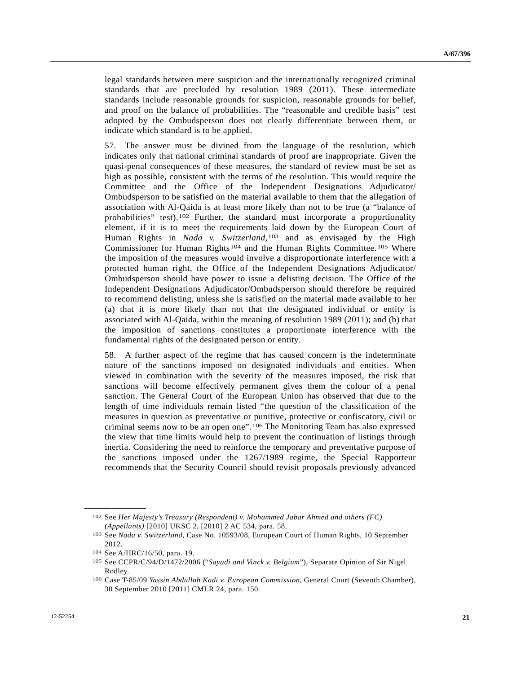legal standards between mere suspicion and the internationally recognized criminal standards that are precluded by resolution 1989 (2011). These intermediate standards include reasonable grounds for suspicion, reasonable grounds for belief, and proof on the balance of probabilities. The "reasonable and credible basis" test adopted by the Ombudsperson does not clearly differentiate between them, or indicate which standard is to be applied.

57. The answer must be divined from the language of the resolution, which indicates only that national criminal standards of proof are inappropriate. Given the quasi-penal consequences of these measures, the standard of review must be set as high as possible, consistent with the terms of the resolution. This would require the Committee and the Office of the Independent Designations Adjudicator/ Ombudsperson to be satisfied on the material available to them that the allegation of association with Al-Qaida is at least more likely than not to be true (a "balance of probabilities" test).[1](#page-20-0)02 Further, the standard must incorporate a proportionality element, if it is to meet the requirements laid down by the European Court of Human Rights in *Nada v. Switzerland*,[1](#page-20-1)03 and as envisaged by the High Commissioner for Human Rights<sup>[10](#page-20-3)4</sup> and the Human Rights Committee.<sup>105</sup> Where the imposition of the measures would involve a disproportionate interference with a protected human right, the Office of the Independent Designations Adjudicator/ Ombudsperson should have power to issue a delisting decision. The Office of the Independent Designations Adjudicator/Ombudsperson should therefore be required to recommend delisting, unless she is satisfied on the material made available to her (a) that it is more likely than not that the designated individual or entity is associated with Al-Qaida, within the meaning of resolution 1989 (2011); and (b) that the imposition of sanctions constitutes a proportionate interference with the fundamental rights of the designated person or entity.

58. A further aspect of the regime that has caused concern is the indeterminate nature of the sanctions imposed on designated individuals and entities. When viewed in combination with the severity of the measures imposed, the risk that sanctions will become effectively permanent gives them the colour of a penal sanction. The General Court of the European Union has observed that due to the length of time individuals remain listed "the question of the classification of the measures in question as preventative or punitive, protective or confiscatory, civil or criminal seems now to be an open one".[10](#page-20-4)6 The Monitoring Team has also expressed the view that time limits would help to prevent the continuation of listings through inertia. Considering the need to reinforce the temporary and preventative purpose of the sanctions imposed under the 1267/1989 regime, the Special Rapporteur recommends that the Security Council should revisit proposals previously advanced

<span id="page-20-1"></span><span id="page-20-0"></span><sup>102</sup> See *Her Majesty's Treasury (Respondent) v. Mohammed Jabar Ahmed and others (FC) (Appellants)* [2010] UKSC 2, [2010] 2 AC 534, para. 58. 103 See *Nada v. Switzerland*, Case No. 10593/08, European Court of Human Rights, 10 September

<sup>2012.</sup> 

<span id="page-20-3"></span><span id="page-20-2"></span><sup>104</sup> See A/HRC/16/50, para. 19. 105 See CCPR/C/94/D/1472/2006 ("*Sayadi and Vinck v. Belgium*"), Separate Opinion of Sir Nigel Rodley.

<span id="page-20-4"></span><sup>106</sup> Case T-85/09 *Yassin Abdullah Kadi v. European Commission*, General Court (Seventh Chamber), 30 September 2010 [2011] CMLR 24, para. 150.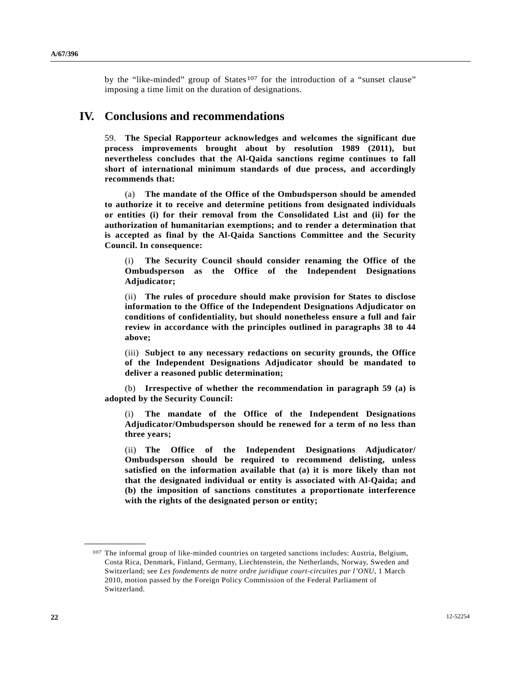by the "like-minded" group of States<sup>[1](#page-21-0)07</sup> for the introduction of a "sunset clause" imposing a time limit on the duration of designations.

# **IV. Conclusions and recommendations**

59. **The Special Rapporteur acknowledges and welcomes the significant due process improvements brought about by resolution 1989 (2011), but nevertheless concludes that the Al-Qaida sanctions regime continues to fall short of international minimum standards of due process, and accordingly recommends that:** 

 (a) **The mandate of the Office of the Ombudsperson should be amended to authorize it to receive and determine petitions from designated individuals or entities (i) for their removal from the Consolidated List and (ii) for the authorization of humanitarian exemptions; and to render a determination that is accepted as final by the Al-Qaida Sanctions Committee and the Security Council. In consequence:** 

 (i) **The Security Council should consider renaming the Office of the Ombudsperson as the Office of the Independent Designations Adjudicator;** 

 (ii) **The rules of procedure should make provision for States to disclose information to the Office of the Independent Designations Adjudicator on conditions of confidentiality, but should nonetheless ensure a full and fair review in accordance with the principles outlined in paragraphs 38 to 44 above;** 

(iii) **Subject to any necessary redactions on security grounds, the Office of the Independent Designations Adjudicator should be mandated to deliver a reasoned public determination;** 

 (b) **Irrespective of whether the recommendation in paragraph 59 (a) is adopted by the Security Council:** 

 (i) **The mandate of the Office of the Independent Designations Adjudicator/Ombudsperson should be renewed for a term of no less than three years;** 

 (ii) **The Office of the Independent Designations Adjudicator/ Ombudsperson should be required to recommend delisting, unless satisfied on the information available that (a) it is more likely than not that the designated individual or entity is associated with Al-Qaida; and (b) the imposition of sanctions constitutes a proportionate interference with the rights of the designated person or entity;** 

<span id="page-21-0"></span><sup>107</sup> The informal group of like-minded countries on targeted sanctions includes: Austria, Belgium, Costa Rica, Denmark, Finland, Germany, Liechtenstein, the Netherlands, Norway, Sweden and Switzerland; see *Les fondements de notre ordre juridique court-circuites par l'ONU*, 1 March 2010, motion passed by the Foreign Policy Commission of the Federal Parliament of Switzerland.